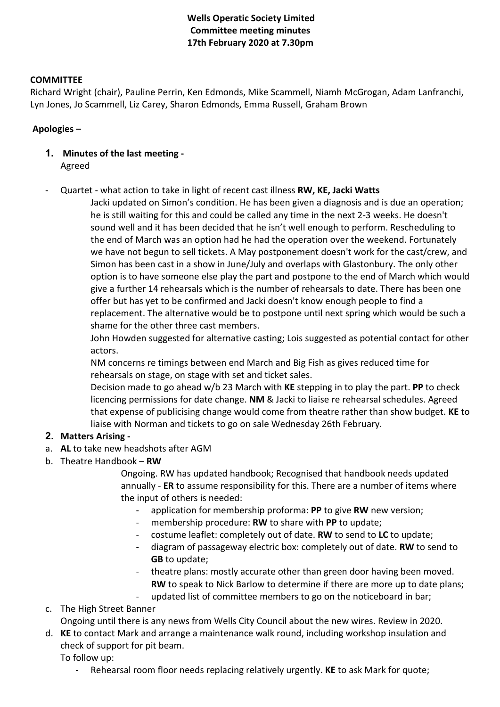# **Wells Operatic Society Limited Committee meeting minutes 17th February 2020 at 7.30pm**

### **COMMITTEE**

Richard Wright (chair), Pauline Perrin, Ken Edmonds, Mike Scammell, Niamh McGrogan, Adam Lanfranchi, Lyn Jones, Jo Scammell, Liz Carey, Sharon Edmonds, Emma Russell, Graham Brown

#### **Apologies –**

- **1. Minutes of the last meeting -** Agreed
- Quartet what action to take in light of recent cast illness **RW, KE, Jacki Watts**

Jacki updated on Simon's condition. He has been given a diagnosis and is due an operation; he is still waiting for this and could be called any time in the next 2-3 weeks. He doesn't sound well and it has been decided that he isn't well enough to perform. Rescheduling to the end of March was an option had he had the operation over the weekend. Fortunately we have not begun to sell tickets. A May postponement doesn't work for the cast/crew, and Simon has been cast in a show in June/July and overlaps with Glastonbury. The only other option is to have someone else play the part and postpone to the end of March which would give a further 14 rehearsals which is the number of rehearsals to date. There has been one offer but has yet to be confirmed and Jacki doesn't know enough people to find a replacement. The alternative would be to postpone until next spring which would be such a shame for the other three cast members.

John Howden suggested for alternative casting; Lois suggested as potential contact for other actors.

NM concerns re timings between end March and Big Fish as gives reduced time for rehearsals on stage, on stage with set and ticket sales.

Decision made to go ahead w/b 23 March with **KE** stepping in to play the part. **PP** to check licencing permissions for date change. **NM** & Jacki to liaise re rehearsal schedules. Agreed that expense of publicising change would come from theatre rather than show budget. **KE** to liaise with Norman and tickets to go on sale Wednesday 26th February.

### **2. Matters Arising -**

- a. **AL** to take new headshots after AGM
- b. Theatre Handbook **RW**

Ongoing. RW has updated handbook; Recognised that handbook needs updated annually - **ER** to assume responsibility for this. There are a number of items where the input of others is needed:

- application for membership proforma: **PP** to give **RW** new version;
- membership procedure: **RW** to share with **PP** to update;
- costume leaflet: completely out of date. **RW** to send to **LC** to update;
- diagram of passageway electric box: completely out of date. **RW** to send to **GB** to update;
- theatre plans: mostly accurate other than green door having been moved. **RW** to speak to Nick Barlow to determine if there are more up to date plans;
- updated list of committee members to go on the noticeboard in bar;

c. The High Street Banner

Ongoing until there is any news from Wells City Council about the new wires. Review in 2020.

d. **KE** to contact Mark and arrange a maintenance walk round, including workshop insulation and check of support for pit beam.

To follow up:

- Rehearsal room floor needs replacing relatively urgently. **KE** to ask Mark for quote;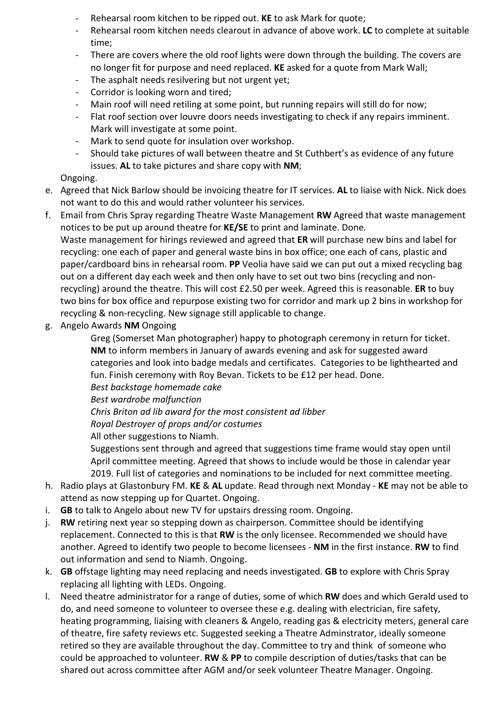- Rehearsal room kitchen to be ripped out. **KE** to ask Mark for quote;
- Rehearsal room kitchen needs clearout in advance of above work. **LC** to complete at suitable time;
- There are covers where the old roof lights were down through the building. The covers are no longer fit for purpose and need replaced. **KE** asked for a quote from Mark Wall;
- The asphalt needs resilvering but not urgent yet;
- Corridor is looking worn and tired;
- Main roof will need retiling at some point, but running repairs will still do for now;
- Flat roof section over louvre doors needs investigating to check if any repairs imminent. Mark will investigate at some point.
- Mark to send quote for insulation over workshop.
- Should take pictures of wall between theatre and St Cuthbert's as evidence of any future issues. **AL** to take pictures and share copy with **NM**;

# Ongoing.

- e. Agreed that Nick Barlow should be invoicing theatre for IT services. **AL** to liaise with Nick. Nick does not want to do this and would rather volunteer his services.
- f. Email from Chris Spray regarding Theatre Waste Management **RW** Agreed that waste management notices to be put up around theatre for **KE/SE** to print and laminate. Done. Waste management for hirings reviewed and agreed that **ER** will purchase new bins and label for recycling: one each of paper and general waste bins in box office; one each of cans, plastic and paper/cardboard bins in rehearsal room. **PP** Veolia have said we can put out a mixed recycling bag out on a different day each week and then only have to set out two bins (recycling and nonrecycling) around the theatre. This will cost £2.50 per week. Agreed this is reasonable. **ER** to buy

two bins for box office and repurpose existing two for corridor and mark up 2 bins in workshop for

- g. Angelo Awards **NM** Ongoing
	- Greg (Somerset Man photographer) happy to photograph ceremony in return for ticket. **NM** to inform members in January of awards evening and ask for suggested award categories and look into badge medals and certificates. Categories to be lighthearted and fun. Finish ceremony with Roy Bevan. Tickets to be £12 per head. Done.

*Best backstage homemade cake*

*Best wardrobe malfunction*

*Chris Briton ad lib award for the most consistent ad libber*

recycling & non-recycling. New signage still applicable to change.

*Royal Destroyer of props and/or costumes*

All other suggestions to Niamh.

Suggestions sent through and agreed that suggestions time frame would stay open until April committee meeting. Agreed that shows to include would be those in calendar year 2019. Full list of categories and nominations to be included for next committee meeting.

- h. Radio plays at Glastonbury FM. **KE** & **AL** update. Read through next Monday **KE** may not be able to attend as now stepping up for Quartet. Ongoing.
- i. **GB** to talk to Angelo about new TV for upstairs dressing room. Ongoing.
- j. **RW** retiring next year so stepping down as chairperson. Committee should be identifying replacement. Connected to this is that **RW** is the only licensee. Recommended we should have another. Agreed to identify two people to become licensees - **NM** in the first instance. **RW** to find out information and send to Niamh. Ongoing.
- k. **GB** offstage lighting may need replacing and needs investigated. **GB** to explore with Chris Spray replacing all lighting with LEDs. Ongoing.
- l. Need theatre administrator for a range of duties, some of which **RW** does and which Gerald used to do, and need someone to volunteer to oversee these e.g. dealing with electrician, fire safety, heating programming, liaising with cleaners & Angelo, reading gas & electricity meters, general care of theatre, fire safety reviews etc. Suggested seeking a Theatre Adminstrator, ideally someone retired so they are available throughout the day. Committee to try and think of someone who could be approached to volunteer. **RW** & **PP** to compile description of duties/tasks that can be shared out across committee after AGM and/or seek volunteer Theatre Manager. Ongoing.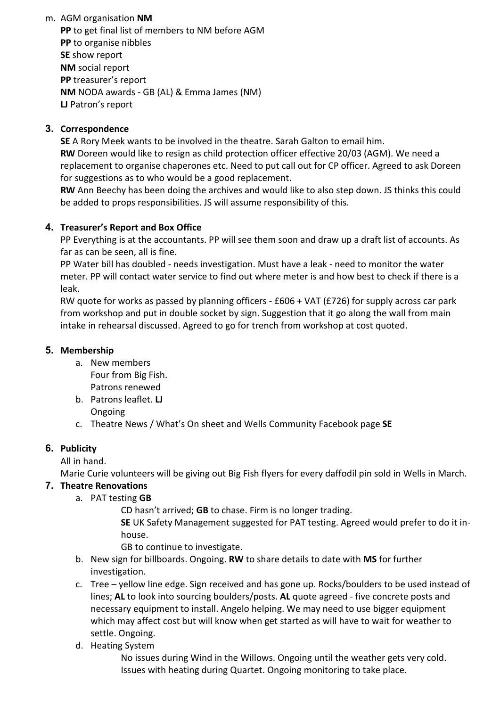m. AGM organisation **NM PP** to get final list of members to NM before AGM **PP** to organise nibbles **SE** show report **NM** social report **PP** treasurer's report **NM** NODA awards - GB (AL) & Emma James (NM) **LJ** Patron's report

## **3. Correspondence**

**SE** A Rory Meek wants to be involved in the theatre. Sarah Galton to email him. **RW** Doreen would like to resign as child protection officer effective 20/03 (AGM). We need a replacement to organise chaperones etc. Need to put call out for CP officer. Agreed to ask Doreen for suggestions as to who would be a good replacement.

**RW** Ann Beechy has been doing the archives and would like to also step down. JS thinks this could be added to props responsibilities. JS will assume responsibility of this.

### **4. Treasurer's Report and Box Office**

PP Everything is at the accountants. PP will see them soon and draw up a draft list of accounts. As far as can be seen, all is fine.

PP Water bill has doubled - needs investigation. Must have a leak - need to monitor the water meter. PP will contact water service to find out where meter is and how best to check if there is a leak.

RW quote for works as passed by planning officers - £606 + VAT (£726) for supply across car park from workshop and put in double socket by sign. Suggestion that it go along the wall from main intake in rehearsal discussed. Agreed to go for trench from workshop at cost quoted.

### **5. Membership**

- a. New members Four from Big Fish. Patrons renewed
- b. Patrons leaflet. **LJ** Ongoing
- c. Theatre News / What's On sheet and Wells Community Facebook page **SE**

### **6. Publicity**

All in hand.

Marie Curie volunteers will be giving out Big Fish flyers for every daffodil pin sold in Wells in March.

# **7. Theatre Renovations**

a. PAT testing **GB**

CD hasn't arrived; **GB** to chase. Firm is no longer trading.

**SE** UK Safety Management suggested for PAT testing. Agreed would prefer to do it inhouse.

GB to continue to investigate.

- b. New sign for billboards. Ongoing. **RW** to share details to date with **MS** for further investigation.
- c. Tree yellow line edge. Sign received and has gone up. Rocks/boulders to be used instead of lines; **AL** to look into sourcing boulders/posts. **AL** quote agreed - five concrete posts and necessary equipment to install. Angelo helping. We may need to use bigger equipment which may affect cost but will know when get started as will have to wait for weather to settle. Ongoing.
- d. Heating System

No issues during Wind in the Willows. Ongoing until the weather gets very cold. Issues with heating during Quartet. Ongoing monitoring to take place.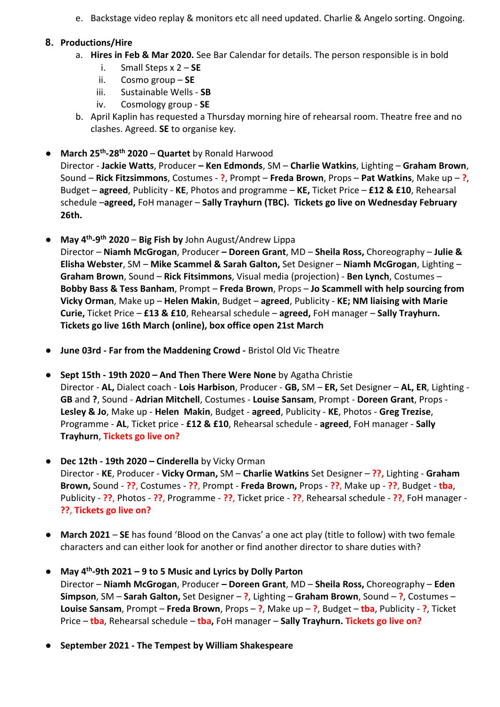e. Backstage video replay & monitors etc all need updated. Charlie & Angelo sorting. Ongoing.

## **8. Productions/Hire**

- a. **Hires in Feb & Mar 2020.** See Bar Calendar for details. The person responsible is in bold
	- i. Small Steps x 2 **SE**
	- ii. Cosmo group **SE**
	- iii. Sustainable Wells **SB**
	- iv. Cosmology group **SE**
- b. April Kaplin has requested a Thursday morning hire of rehearsal room. Theatre free and no clashes. Agreed. **SE** to organise key.
- **March 25th-28th 2020 Quartet** by Ronald Harwood

Director - **Jackie Watts**, Producer **– Ken Edmonds**, SM – **Charlie Watkins**, Lighting – **Graham Brown**, Sound – **Rick Fitzsimmons**, Costumes - **?**, Prompt – **Freda Brown**, Props – **Pat Watkins**, Make up – **?**, Budget – **agreed**, Publicity - **KE**, Photos and programme – **KE,** Ticket Price – **£12 & £10**, Rehearsal schedule –**agreed,** FoH manager – **Sally Trayhurn (TBC). Tickets go live on Wednesday February 26th.**

- **May 4th-9th 2020 Big Fish by** John August/Andrew Lippa Director – **Niamh McGrogan**, Producer **– Doreen Grant**, MD – **Sheila Ross,** Choreography – **Julie & Elisha Webster**, SM – **Mike Scammel & Sarah Galton,** Set Designer – **Niamh McGrogan**, Lighting – **Graham Brown**, Sound – **Rick Fitsimmons**, Visual media (projection) - **Ben Lynch**, Costumes – **Bobby Bass & Tess Banham**, Prompt – **Freda Brown**, Props – **Jo Scammell with help sourcing from Vicky Orman**, Make up – **Helen Makin**, Budget – **agreed**, Publicity - **KE; NM liaising with Marie Curie,** Ticket Price – **£13 & £10**, Rehearsal schedule – **agreed,** FoH manager – **Sally Trayhurn. Tickets go live 16th March (online), box office open 21st March**
- **June 03rd - Far from the Maddening Crowd -** Bristol Old Vic Theatre
- **Sept 15th - 19th 2020 – And Then There Were None** by Agatha Christie Director - **AL,** Dialect coach - **Lois Harbison**, Producer - **GB,** SM – **ER,** Set Designer – **AL, ER**, Lighting - **GB** and **?**, Sound - **Adrian Mitchell**, Costumes - **Louise Sansam**, Prompt - **Doreen Grant**, Props - **Lesley & Jo**, Make up - **Helen Makin**, Budget - **agreed**, Publicity - **KE**, Photos - **Greg Trezise**, Programme - **AL**, Ticket price - **£12 & £10**, Rehearsal schedule - **agreed**, FoH manager - **Sally Trayhurn**, **Tickets go live on?**
- **Dec 12th - 19th 2020 – Cinderella** by Vicky Orman Director - **KE**, Producer - **Vicky Orman,** SM – **Charlie Watkins** Set Designer – **??,** Lighting - **Graham Brown,** Sound - **??**, Costumes - **??**, Prompt - **Freda Brown,** Props - **??**, Make up - **??**, Budget - **tba**, Publicity - **??**, Photos - **??**, Programme - **??**, Ticket price - **??**, Rehearsal schedule - **??**, FoH manager - **??**, **Tickets go live on?**
- **March 2021 SE** has found 'Blood on the Canvas' a one act play (title to follow) with two female characters and can either look for another or find another director to share duties with?
- **May 4th-9th 2021 – 9 to 5 Music and Lyrics by Dolly Parton** Director – **Niamh McGrogan**, Producer **– Doreen Grant**, MD – **Sheila Ross,** Choreography – **Eden Simpson**, SM – **Sarah Galton,** Set Designer – **?**, Lighting – **Graham Brown**, Sound – **?**, Costumes – **Louise Sansam**, Prompt – **Freda Brown**, Props – **?**, Make up – **?**, Budget – **tba**, Publicity - **?**, Ticket Price – **tba**, Rehearsal schedule – **tba,** FoH manager – **Sally Trayhurn. Tickets go live on?**
- **September 2021 - The Tempest by William Shakespeare**